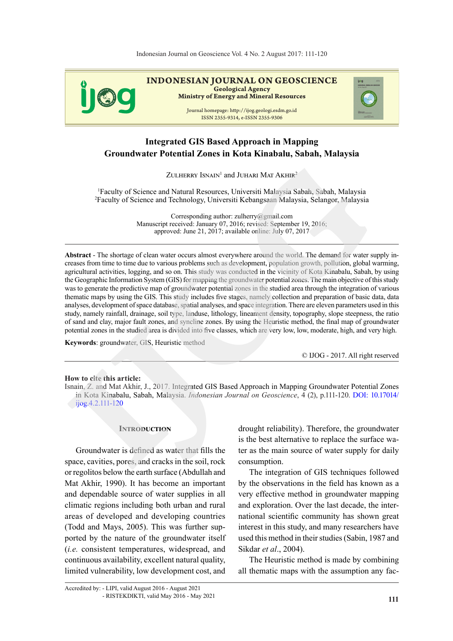

# **Integrated GIS Based Approach in Mapping Groundwater Potential Zones in Kota Kinabalu, Sabah, Malaysia**

ZULHERRY ISNAIN<sup>1</sup> and JUHARI MAT AKHIR<sup>2</sup>

<sup>1</sup>Faculty of Science and Natural Resources, Universiti Malaysia Sabah, Sabah, Malaysia <sup>2</sup>Faculty of Science and Technology, Universiti Kebangsaan Malaysia, Selangor, Malaysia

> Corresponding author: zulherry@gmail.com Manuscript received: January 07, 2016; revised: September 19, 2016; approved: June 21, 2017; available online: July 07, 2017

**Abstract** - The shortage of clean water occurs almost everywhere around the world. The demand for water supply increases from time to time due to various problems such as development, population growth, pollution, global warming, agricultural activities, logging, and so on. This study was conducted in the vicinity of Kota Kinabalu, Sabah, by using the Geographic Information System (GIS) for mapping the groundwater potential zones. The main objective of this study was to generate the predictive map of groundwater potential zones in the studied area through the integration of various thematic maps by using the GIS. This study includes five stages, namely collection and preparation of basic data, data analyses, development of space database, spatial analyses, and space integration. There are eleven parameters used in this study, namely rainfall, drainage, soil type, landuse, lithology, lineament density, topography, slope steepness, the ratio of sand and clay, major fault zones, and syncline zones. By using the Heuristic method, the final map of groundwater potential zones in the studied area is divided into five classes, which are very low, low, moderate, high, and very high. XETHERRY ISNATY and JUTEAR MAT AKHER<sup>2</sup><br>
<sup>I</sup>Faculty of Science and Natural Resources, Universiti Malaysia Sabah, Sabah, Malaysia<br>
<sup>2</sup>Faculty of Science and Technology, Universiti Malaysia Sabah, Sabah, Malaysia<br>
<sup>2</sup>Faculty

**Keywords**: groundwater, GIS, Heuristic method

© IJOG - 2017. All right reserved

#### **How to cite this article:**

Isnain, Z. and Mat Akhir, J., 2017. Integrated GIS Based Approach in Mapping Groundwater Potential Zones in Kota Kinabalu, Sabah, Malaysia. *Indonesian Journal on Geoscience*, 4 (2), p.111-120. DOI: 10.17014/ ijog.4.2.111-120

#### **Introduction**

Groundwater is defined as water that fills the space, cavities, pores, and cracks in the soil, rock or regolitos below the earth surface (Abdullah and Mat Akhir, 1990). It has become an important and dependable source of water supplies in all climatic regions including both urban and rural areas of developed and developing countries (Todd and Mays, 2005). This was further supported by the nature of the groundwater itself (*i.e.* consistent temperatures, widespread, and continuous availability, excellent natural quality, limited vulnerability, low development cost, and

drought reliability). Therefore, the groundwater is the best alternative to replace the surface water as the main source of water supply for daily consumption.

The integration of GIS techniques followed by the observations in the field has known as a very effective method in groundwater mapping and exploration. Over the last decade, the international scientific community has shown great interest in this study, and many researchers have used this method in their studies (Sabin, 1987 and Sikdar *et al*., 2004).

The Heuristic method is made by combining all thematic maps with the assumption any fac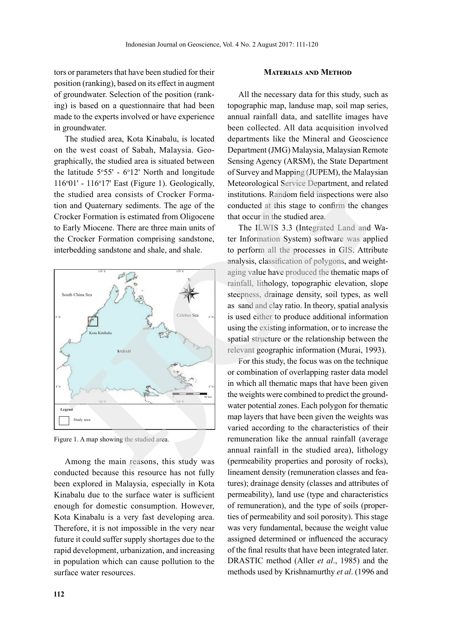tors or parameters that have been studied for their position (ranking), based on its effect in augment of groundwater. Selection of the position (ranking) is based on a questionnaire that had been made to the experts involved or have experience in groundwater.

The studied area, Kota Kinabalu, is located on the west coast of Sabah, Malaysia. Geographically, the studied area is situated between the latitude  $5°55'$  -  $6°12'$  North and longitude  $116°01'$  -  $116°17'$  East (Figure 1). Geologically, the studied area consists of Crocker Formation and Quaternary sediments. The age of the Crocker Formation is estimated from Oligocene to Early Miocene. There are three main units of the Crocker Formation comprising sandstone, interbedding sandstone and shale, and shale.



Figure 1. A map showing the studied area.

Among the main reasons, this study was conducted because this resource has not fully been explored in Malaysia, especially in Kota Kinabalu due to the surface water is sufficient enough for domestic consumption. However, Kota Kinabalu is a very fast developing area. Therefore, it is not impossible in the very near future it could suffer supply shortages due to the rapid development, urbanization, and increasing in population which can cause pollution to the surface water resources.

All the necessary data for this study, such as topographic map, landuse map, soil map series, annual rainfall data, and satellite images have been collected. All data acquisition involved departments like the Mineral and Geoscience Department (JMG) Malaysia, Malaysian Remote Sensing Agency (ARSM), the State Department of Survey and Mapping (JUPEM), the Malaysian Meteorological Service Department, and related institutions. Random field inspections were also conducted at this stage to confirm the changes that occur in the studied area.

The ILWIS 3.3 (Integrated Land and Water Information System) software was applied to perform all the processes in GIS. Attribute analysis, classification of polygons, and weightaging value have produced the thematic maps of rainfall, lithology, topographic elevation, slope steepness, drainage density, soil types, as well as sand and clay ratio. In theory, spatial analysis is used either to produce additional information using the existing information, or to increase the spatial structure or the relationship between the relevant geographic information (Murai, 1993).

For this study, the focus was on the technique or combination of overlapping raster data model in which all thematic maps that have been given the weights were combined to predict the groundwater potential zones. Each polygon for thematic map layers that have been given the weights was varied according to the characteristics of their remuneration like the annual rainfall (average annual rainfall in the studied area), lithology (permeability properties and porosity of rocks), lineament density (remuneration classes and features); drainage density (classes and attributes of permeability), land use (type and characteristics of remuneration), and the type of soils (properties of permeability and soil porosity). This stage was very fundamental, because the weight value assigned determined or influenced the accuracy of the final results that have been integrated later. DRASTIC method (Aller *et al*., 1985) and the methods used by Krishnamurthy *et al*. (1996 and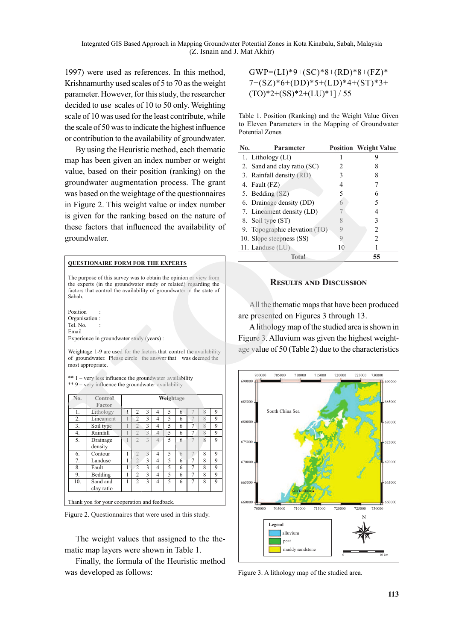1997) were used as references. In this method, Krishnamurthy used scales of 5 to 70 as the weight parameter. However, for this study, the researcher decided to use scales of 10 to 50 only. Weighting scale of 10 was used for the least contribute, while the scale of 50 was to indicate the highest influence or contribution to the availability of groundwater.

By using the Heuristic method, each thematic map has been given an index number or weight value, based on their position (ranking) on the groundwater augmentation process. The grant was based on the weightage of the questionnaires in Figure 2. This weight value or index number is given for the ranking based on the nature of these factors that influenced the availability of groundwater.

#### **QUESTIONAIRE FORM FOR THE EXPERTS**

The purpose of this survey was to obtain the opinion or view from the experts (in the groundwater study or related) regarding the factors that control the availability of groundwater in the state of Sabah.

**Position** Organisation : Tel. No. Email : Experience in groundwater study (years) :

Weightage 1-9 are used for the factors that control the availability of groundwater. Please circle the answer that was deemed the most appropriate.

\*\* 1 – very less influence the groundwater availability \*\* 9 – very influence the groundwater availability

| No. | Control<br>Factor      |   |                |               |                | Weightage   |   |                |                |   |
|-----|------------------------|---|----------------|---------------|----------------|-------------|---|----------------|----------------|---|
| 1.  | Lithology              |   | $\overline{c}$ | 3             | $\overline{4}$ | 5           | 6 |                | $\overline{8}$ | 9 |
| 2.  | Lineament              |   | $\overline{2}$ | 3             | 4              | $\varsigma$ | 6 |                | $\overline{8}$ | 9 |
| 3.  | Soil type              |   | $\overline{2}$ | 3             | $\overline{4}$ | 5           | 6 | 7              | 8              | 9 |
| 4.  | Rainfall               |   | $\mathfrak{D}$ | $\mathbf{3}$  | $\overline{A}$ | 5           | 6 | 7              | $\overline{8}$ | 9 |
| 5.  | Drainage<br>density    |   | $\overline{2}$ | $\mathcal{R}$ | 4              | $\varsigma$ | 6 |                | $\mathbf{8}$   | 9 |
| 6.  | Contour                | 1 | $\overline{2}$ | 3             | $\overline{4}$ | 5           | 6 | $\overline{7}$ | 8              | 9 |
| 7.  | Landuse                | 1 | $\overline{2}$ | 3             | $\overline{4}$ | 5           | 6 | 7              | 8              | 9 |
| 8.  | Fault                  | 1 | $\overline{c}$ | 3             | 4              | $\varsigma$ | 6 | 7              | 8              | 9 |
| 9.  | Bedding                | 1 | $\overline{2}$ | 3             | $\overline{4}$ | 5           | 6 | 7              | 8              | 9 |
| 10. | Sand and<br>clay ratio | 1 | $\overline{c}$ | 3             | $\overline{4}$ | 5           | 6 | $\overline{7}$ | 8              | 9 |

Figure 2. Questionnaires that were used in this study.

The weight values that assigned to the thematic map layers were shown in Table 1.

Finally, the formula of the Heuristic method was developed as follows:

 $GWP=(LI)*9+(SC)*8+(RD)*8+(FZ)*$ 7+(SZ)\*6+(DD)\*5+(LD)\*4+(ST)\*3+  $(TO)*2+(SS)*2+(LU)*1]/55$ 

Table 1. Position (Ranking) and the Weight Value Given to Eleven Parameters in the Mapping of Groundwater Potential Zones

| No. | Parameter                     |    | <b>Position Weight Value</b> |
|-----|-------------------------------|----|------------------------------|
|     | 1. Lithology (LI)             |    | g                            |
|     | 2. Sand and clay ratio (SC)   |    |                              |
|     | 3. Rainfall density (RD)      |    |                              |
|     | 4. Fault (FZ)                 |    |                              |
|     | 5. Bedding (SZ)               | 5  | 6                            |
|     | 6. Drainage density (DD)      |    | 5                            |
|     | 7. Lineament density (LD)     |    |                              |
|     | 8. Soil type (ST)             |    | 3                            |
|     | 9. Topographic elevation (TO) |    | 2                            |
|     | 10. Slope steepness (SS)      |    | $\mathcal{D}_{\mathcal{A}}$  |
|     | 11. Landuse $(LU)$            | 10 |                              |
|     | Total                         |    | 55                           |

## **Results and Discussion**

All the thematic maps that have been produced are presented on Figures 3 through 13.

A lithology map of the studied area is shown in Figure 3. Alluvium was given the highest weightage value of 50 (Table 2) due to the characteristics



Figure 3. A lithology map of the studied area.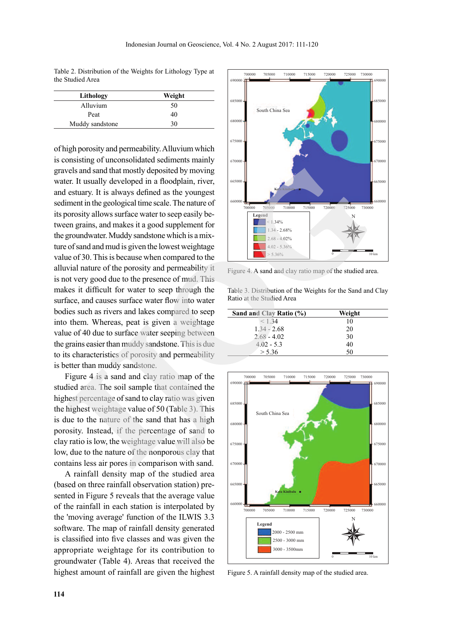Table 2. Distribution of the Weights for Lithology Type at the Studied Area

| Lithology       | Weight |
|-----------------|--------|
| Alluvium        | 50     |
| Peat            | 40     |
| Muddy sandstone | 30     |

of high porosity and permeability. Alluvium which is consisting of unconsolidated sediments mainly gravels and sand that mostly deposited by moving water. It usually developed in a floodplain, river, and estuary. It is always defined as the youngest sediment in the geological time scale. The nature of its porosity allows surface water to seep easily between grains, and makes it a good supplement for the groundwater. Muddy sandstone which is a mixture of sand and mud is given the lowest weightage value of 30. This is because when compared to the alluvial nature of the porosity and permeability it is not very good due to the presence of mud. This makes it difficult for water to seep through the surface, and causes surface water flow into water bodies such as rivers and lakes compared to seep into them. Whereas, peat is given a weightage value of 40 due to surface water seeping between the grains easier than muddy sandstone. This is due to its characteristics of porosity and permeability is better than muddy sandstone. **Example to the constrained scienting in the constrained science of small and that the state of the propose the state of the propose of the state of the state of the propose of the state of the propose of the state in the** 

Figure 4 is a sand and clay ratio map of the studied area. The soil sample that contained the highest percentage of sand to clay ratio was given the highest weightage value of 50 (Table 3). This is due to the nature of the sand that has a high porosity. Instead, if the percentage of sand to clay ratio is low, the weightage value will also be low, due to the nature of the nonporous clay that contains less air pores in comparison with sand.

A rainfall density map of the studied area (based on three rainfall observation station) presented in Figure 5 reveals that the average value of the rainfall in each station is interpolated by the 'moving average' function of the ILWIS 3.3 software. The map of rainfall density generated is classified into five classes and was given the appropriate weightage for its contribution to groundwater (Table 4). Areas that received the highest amount of rainfall are given the highest



Figure 4. A sand and clay ratio map of the studied area.

Table 3. Distribution of the Weights for the Sand and Clay Ratio at the Studied Area

| Sand and Clay Ratio (%) | Weight |
|-------------------------|--------|
| $<$ 1 34                | 10     |
| $1.34 - 2.68$           | 20     |
| $2.68 - 4.02$           | 30     |
| $4.02 - 5.3$            | 40     |
| > 5.36                  | 50     |



Figure 5. A rainfall density map of the studied area.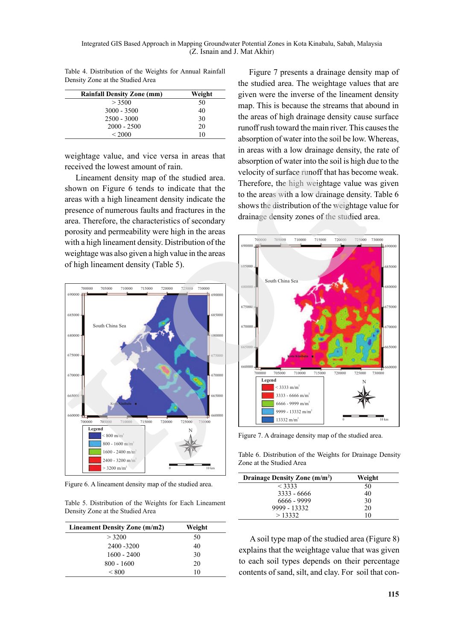Table 4. Distribution of the Weights for Annual Rainfall Density Zone at the Studied Area

| <b>Rainfall Density Zone (mm)</b> | Weight |
|-----------------------------------|--------|
| > 3500                            | 50     |
| $3000 - 3500$                     | 40     |
| $2500 - 3000$                     | 30     |
| $2000 - 2500$                     | 20     |
| ${}_{\leq} 2000$                  | 10     |

weightage value, and vice versa in areas that received the lowest amount of rain.

Lineament density map of the studied area. shown on Figure 6 tends to indicate that the areas with a high lineament density indicate the presence of numerous faults and fractures in the area. Therefore, the characteristics of secondary porosity and permeability were high in the areas with a high lineament density. Distribution of the weightage was also given a high value in the areas of high lineament density (Table 5).



Figure 6. A lineament density map of the studied area.

| Table 5. Distribution of the Weights for Each Lineament |  |  |  |
|---------------------------------------------------------|--|--|--|
| Density Zone at the Studied Area                        |  |  |  |

| Lineament Density Zone (m/m2) | Weight |
|-------------------------------|--------|
| > 3200                        | 50     |
| 2400 - 3200                   | 40     |
| $1600 - 2400$                 | 30     |
| $800 - 1600$                  | 20     |
| < 800                         | 10     |

Figure 7 presents a drainage density map of the studied area. The weightage values that are given were the inverse of the lineament density map. This is because the streams that abound in the areas of high drainage density cause surface runoff rush toward the main river. This causes the absorption of water into the soil be low. Whereas, in areas with a low drainage density, the rate of absorption of water into the soil is high due to the velocity of surface runoff that has become weak. Therefore, the high weightage value was given to the areas with a low drainage density. Table 6 shows the distribution of the weightage value for drainage density zones of the studied area.



Figure 7. A drainage density map of the studied area.

Table 6. Distribution of the Weights for Drainage Density Zone at the Studied Area

| Drainage Density Zone (m/m <sup>2</sup> ) | Weight |
|-------------------------------------------|--------|
| $<$ 3333                                  | 50     |
| $3333 - 6666$                             | 40     |
| 6666 - 9999                               | 30     |
| 9999 - 13332                              | 20     |
| >13332                                    | 10     |

A soil type map of the studied area (Figure 8) explains that the weightage value that was given to each soil types depends on their percentage contents of sand, silt, and clay. For soil that con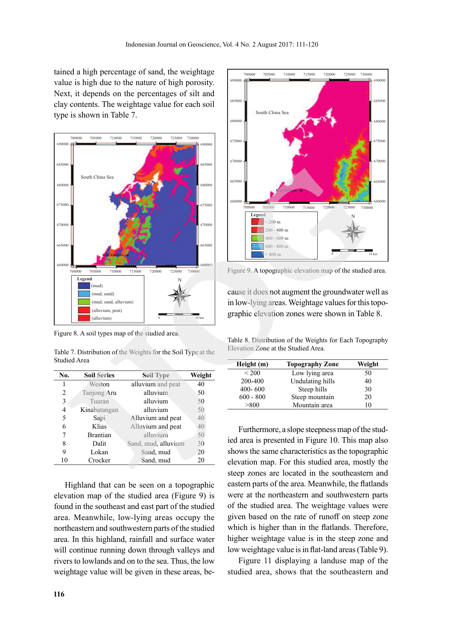tained a high percentage of sand, the weightage value is high due to the nature of high porosity. Next, it depends on the percentages of silt and clay contents. The weightage value for each soil type is shown in Table 7.



Figure 8. A soil types map of the studied area.

Table 7. Distribution of the Weights for the Soil Type at the Studied Area

| No. | <b>Soil Series</b> | <b>Soil Type</b>    | Weight |
|-----|--------------------|---------------------|--------|
| 1   | Weston             | alluvium and peat   | 40     |
| 2   | Tanjong Aru        | alluvium            | 50     |
| 3   | Tuaran             | alluvium            | 50     |
| 4   | Kinabatangan       | alluvium            | 50     |
| 5   | Sapi               | Alluvium and peat   | 40     |
| 6   | Klias              | Alluvium and peat   | 40     |
| 7   | <b>Brantian</b>    | alluvium            | 50     |
| 8   | Dalit              | Sand, mud. alluvium | 30     |
| 9   | Lokan              | Sand, mud           | 20     |
| 10  | Crocker            | Sand, mud           | 20     |

Highland that can be seen on a topographic elevation map of the studied area (Figure 9) is found in the southeast and east part of the studied area. Meanwhile, low-lying areas occupy the northeastern and southwestern parts of the studied area. In this highland, rainfall and surface water will continue running down through valleys and rivers to lowlands and on to the sea. Thus, the low weightage value will be given in these areas, be-



Figure 9. A topographic elevation map of the studied area.

cause it does not augment the groundwater well as in low-lying areas. Weightage values for this topographic elevation zones were shown in Table 8.

Table 8. Distribution of the Weights for Each Topography Elevation Zone at the Studied Area.

| Height (m)  | <b>Topography Zone</b> | Weight |
|-------------|------------------------|--------|
| ${}_{200}$  | Low lying area         | 50     |
| 200-400     | Undulating hills       | 40     |
| $400 - 600$ | Steep hills            | 30     |
| $600 - 800$ | Steep mountain         | 20     |
| > 800       | Mountain area          | 10     |
|             |                        |        |

Furthermore, a slope steepness map of the studied area is presented in Figure 10. This map also shows the same characteristics as the topographic elevation map. For this studied area, mostly the steep zones are located in the southeastern and eastern parts of the area. Meanwhile, the flatlands were at the northeastern and southwestern parts of the studied area. The weightage values were given based on the rate of runoff on steep zone which is higher than in the flatlands. Therefore, higher weightage value is in the steep zone and low weightage value is in flat-land areas (Table 9).

Figure 11 displaying a landuse map of the studied area, shows that the southeastern and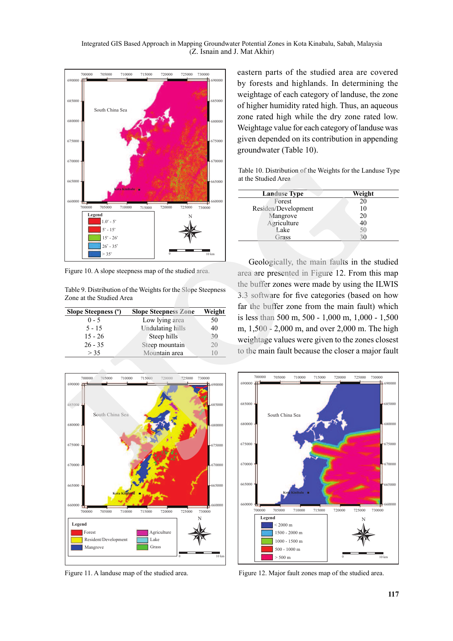

Figure 10. A slope steepness map of the studied area.

Table 9. Distribution of the Weights for the Slope Steepness Zone at the Studied Area

| Slope Steepness (°) | <b>Slope Steepness Zone</b> | Weight |
|---------------------|-----------------------------|--------|
| $0 - 5$             | Low lying area              | 50     |
| $5 - 15$            | <b>Undulating hills</b>     | 40     |
| $15 - 26$           | Steep hills                 | 30     |
| $26 - 35$           | Steep mountain              | 20     |
| > 35                | Mountain area               |        |

eastern parts of the studied area are covered by forests and highlands. In determining the weightage of each category of landuse, the zone of higher humidity rated high. Thus, an aqueous zone rated high while the dry zone rated low. Weightage value for each category of landuse was given depended on its contribution in appending groundwater (Table 10).

Table 10. Distribution of the Weights for the Landuse Type at the Studied Area

| <b>Landuse Type</b> | Weight |
|---------------------|--------|
| Forest              | 20     |
| Residen/Development | 10     |
| Mangrove            | 20     |
| Agriculture         | 40     |
| Lake                |        |
| Grass               |        |
|                     |        |

Geologically, the main faults in the studied area are presented in Figure 12. From this map the buffer zones were made by using the ILWIS 3.3 software for five categories (based on how far the buffer zone from the main fault) which is less than 500 m, 500 - 1,000 m, 1,000 - 1,500 m, 1,500 - 2,000 m, and over 2,000 m. The high weightage values were given to the zones closest to the main fault because the closer a major fault



Figure 11. A landuse map of the studied area.



Figure 12. Major fault zones map of the studied area.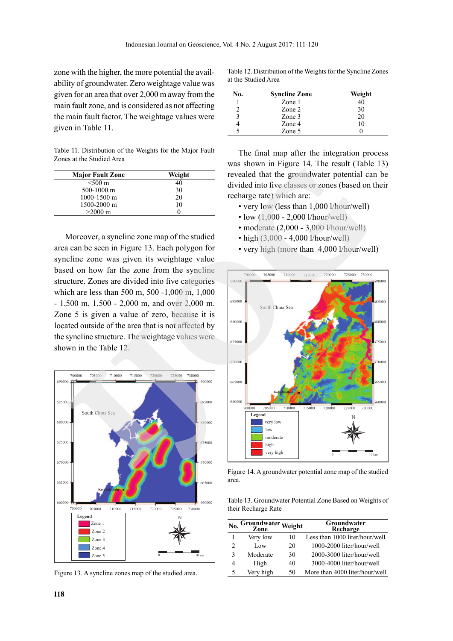zone with the higher, the more potential the availability of groundwater. Zero weightage value was given for an area that over 2,000 m away from the main fault zone, and is considered as not affecting the main fault factor. The weightage values were given in Table 11.

Table 11. Distribution of the Weights for the Major Fault Zones at the Studied Area

| <b>Major Fault Zone</b> | Weight |
|-------------------------|--------|
| $< 500 \text{ m}$       | 40     |
| $500-1000$ m            | 30     |
| 1000-1500 m             | 20     |
| 1500-2000 m             | 10     |
| $>2000 \text{ m}$       |        |

Moreover, a syncline zone map of the studied area can be seen in Figure 13. Each polygon for syncline zone was given its weightage value based on how far the zone from the syncline structure. Zones are divided into five categories which are less than 500 m, 500 -1,000 m, 1,000 - 1,500 m, 1,500 - 2,000 m, and over 2,000 m. Zone 5 is given a value of zero, because it is located outside of the area that is not affected by the syncline structure. The weightage values were shown in the Table 12.



Figure 13. A syncline zones map of the studied area.

Table 12. Distribution of the Weights for the Syncline Zones at the Studied Area

| No. | <b>Syncline Zone</b> | Weight |
|-----|----------------------|--------|
|     | Zone 1               | 40     |
|     | Zone 2               | 30     |
|     | Zone 3               | 20     |
|     | Zone 4               | 10     |
|     | Zone 5               |        |

The final map after the integration process was shown in Figure 14. The result (Table 13) revealed that the groundwater potential can be divided into five classes or zones (based on their recharge rate) which are:

- very low (less than 1,000 l/hour/well)
- low  $(1,000 2,000$  l/hour/well)
- moderate (2,000 3,000 l/hour/well)
- high (3,000 4,000 l/hour/well)
- very high (more than 4,000 l/hour/well)



Figure 14. A groundwater potential zone map of the studied area.

Table 13. Groundwater Potential Zone Based on Weights of their Recharge Rate

| No. | Groundwater Weight |    | Groundwater<br>Recharge        |
|-----|--------------------|----|--------------------------------|
|     | Very low           | 10 | Less than 1000 liter/hour/well |
| 2   | Low                | 20 | 1000-2000 liter/hour/well      |
| 3   | Moderate           | 30 | 2000-3000 liter/hour/well      |
| 4   | High               | 40 | 3000-4000 liter/hour/well      |
| 5   | Very high          | 50 | More than 4000 liter/hour/well |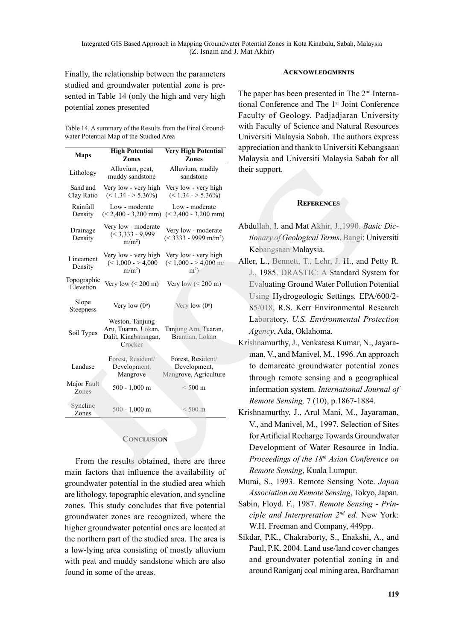Finally, the relationship between the parameters studied and groundwater potential zone is presented in Table 14 (only the high and very high potential zones presented

Table 14. A summary of the Results from the Final Groundwater Potential Map of the Studied Area

| <b>Maps</b>               | <b>High Potential</b><br>Zones                                            | <b>Very High Potential</b><br>Zones                        | appreciation and thank to Universiti Keba<br>Malaysia and Universiti Malaysia Sabah                                                                             |
|---------------------------|---------------------------------------------------------------------------|------------------------------------------------------------|-----------------------------------------------------------------------------------------------------------------------------------------------------------------|
| Lithology                 | Alluvium, peat,<br>muddy sandstone                                        | Alluvium, muddy<br>sandstone                               | their support.                                                                                                                                                  |
| Sand and<br>Clay Ratio    | Very low - very high<br>$(< 1.34 - > 5.36\%)$                             | Very low - very high<br>$(< 1.34 - > 5.36\%)$              |                                                                                                                                                                 |
| Rainfall<br>Density       | Low - moderate<br>$(< 2,400 - 3,200$ mm)                                  | Low - moderate<br>$(< 2,400 - 3,200$ mm)                   | <b>REFERENCES</b>                                                                                                                                               |
| Drainage<br>Density       | Very low - moderate<br>$(< 3,333 - 9,999$<br>$m/m2$ )                     | Very low - moderate<br>$(< 3333 - 9999$ m/m <sup>2</sup> ) | Abdullah, I. and Mat Akhir, J., 1990. Bas.<br>tionary of Geological Terms. Bangi: Un                                                                            |
| Lineament<br>Density      | Very low - very high<br>$(< 1,000 - > 4,000$<br>$m/m^2$ )                 | Very low - very high<br>$(< 1,000 - > 4,000$ m/<br>$m2$ )  | Kebangsaan Malaysia.<br>Aller, L., Bennett, T., Lehr, J. H., and P.<br>J., 1985. DRASTIC: A Standard Syst                                                       |
| Topographic<br>Elevetion  | Very low $(< 200 \text{ m})$                                              | Very low $(< 200 \text{ m})$                               | <b>Evaluating Ground Water Pollution Po</b>                                                                                                                     |
| Slope<br><b>Steepness</b> | Very low $(0^{\circ})$                                                    | Very low $(0^{\circ})$                                     | Using Hydrogeologic Settings. EPA/<br>85/018, R.S. Kerr Environmental Re                                                                                        |
| Soil Types                | Weston, Tanjung<br>Aru, Tuaran, Lokan,<br>Dalit, Kinabatangan,<br>Crocker | Tanjung Aru, Tuaran,<br>Brantian, Lokan                    | Laboratory, U.S. Environmental Pro.<br>Agency, Ada, Oklahoma.<br>Krishnamurthy, J., Venkatesa Kumar, N., .                                                      |
| Landuse                   | Forest, Resident/<br>Development,<br>Mangrove                             | Forest, Resident/<br>Development,<br>Mangrove, Agriculture | man, V., and Manivel, M., 1996. An ap<br>to demarcate groundwater potential<br>through remote sensing and a geogra                                              |
| Major Fault<br>Zones      | $500 - 1,000$ m                                                           | $<$ 500 m                                                  | information system. International Jou<br>Remote Sensing, 7 (10), p.1867-1884.                                                                                   |
| Syncline<br>Zones         | $500 - 1,000$ m                                                           | $< 500$ m                                                  | Krishnamurthy, J., Arul Mani, M., Jaya                                                                                                                          |
|                           | <b>CONCLUSION</b>                                                         | From the results obtained, there are three                 | V., and Manivel, M., 1997. Selection o<br>for Artificial Recharge Towards Groun<br>Development of Water Resource in<br>Proceedings of the $18th A$ sian Confere |
|                           |                                                                           |                                                            | $D_{\text{one}}$                                                                                                                                                |

## **CONCLUSION**

From the results obtained, there are three main factors that influence the availability of groundwater potential in the studied area which are lithology, topographic elevation, and syncline zones. This study concludes that five potential groundwater zones are recognized, where the higher groundwater potential ones are located at the northern part of the studied area. The area is a low-lying area consisting of mostly alluvium with peat and muddy sandstone which are also found in some of the areas.

### **Acknowledgments**

The paper has been presented in The 2<sup>nd</sup> International Conference and The 1<sup>st</sup> Joint Conference Faculty of Geology, Padjadjaran University with Faculty of Science and Natural Resources Universiti Malaysia Sabah. The authors express appreciation and thank to Universiti Kebangsaan Malaysia and Universiti Malaysia Sabah for all their support.

## **References**

- Abdullah, I. and Mat Akhir, J.,1990. *Basic Dictionary of Geological Terms*. Bangi: Universiti Kebangsaan Malaysia.
- Aller, L., Bennett, T., Lehr, J. H., and Petty R. J., 1985. DRASTIC: A Standard System for Evaluating Ground Water Pollution Potential Using Hydrogeologic Settings*.* EPA/600/2- 85/018, R.S. Kerr Environmental Research Laboratory, *U.S. Environmental Protection Agency*, Ada, Oklahoma.
- Krishnamurthy, J., Venkatesa Kumar, N., Jayaraman, V., and Manivel, M., 1996. An approach to demarcate groundwater potential zones through remote sensing and a geographical information system. *International Journal of Remote Sensing,* 7 (10), p.1867-1884.
- Krishnamurthy, J., Arul Mani, M., Jayaraman, V., and Manivel, M., 1997. Selection of Sites for Artificial Recharge Towards Groundwater Development of Water Resource in India. *Proceedings of the 18th Asian Conference on Remote Sensing*, Kuala Lumpur.
- Murai, S., 1993. Remote Sensing Note. *Japan Association on Remote Sensing*, Tokyo, Japan.
- Sabin, Floyd. F., 1987. *Remote Sensing Principle and Interpretation 2nd ed*. New York: W.H. Freeman and Company, 449pp.
- Sikdar, P.K., Chakraborty, S., Enakshi, A., and Paul, P.K. 2004. Land use/land cover changes and groundwater potential zoning in and around Raniganj coal mining area, Bardhaman